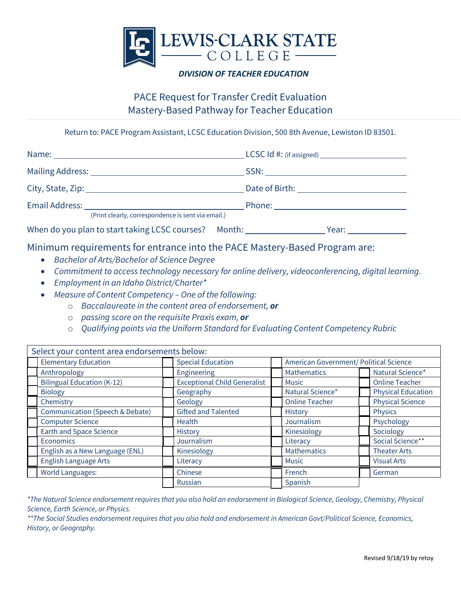

## *DIVISION OF TEACHER EDUCATION*

## PACE Request for Transfer Credit Evaluation Mastery-Based Pathway for Teacher Education

Return to: PACE Program Assistant, LCSC Education Division, 500 8th Avenue, Lewiston ID 83501.

| (Print clearly, correspondence is sent via email.)                         |  |
|----------------------------------------------------------------------------|--|
| When do you plan to start taking LCSC courses? Month: Venture Mear: Vear:  |  |
| Minimum requirements for entrance into the PACE Mastery-Based Program are: |  |

- *Bachelor of Arts/Bachelor of Science Degree*
- *Commitment to access technology necessary for online delivery, videoconferencing, digital learning.*
- *Employment in an Idaho District/Charter\**
- *Measure of Content Competency – One of the following:*
	- o *Baccalaureate in the content area of endorsement, or*
	- o *passing score on the requisite Praxis exam, or*
	- o *Qualifying points via the Uniform Standard for Evaluating Content Competency Rubric*

| Select your content area endorsements below: |                                   |                                     |  |                                        |  |                           |  |  |
|----------------------------------------------|-----------------------------------|-------------------------------------|--|----------------------------------------|--|---------------------------|--|--|
|                                              | <b>Elementary Education</b>       | <b>Special Education</b>            |  | American Government/ Political Science |  |                           |  |  |
|                                              | Anthropology                      | Engineering                         |  | <b>Mathematics</b>                     |  | Natural Science*          |  |  |
|                                              | <b>Bilingual Education (K-12)</b> | <b>Exceptional Child Generalist</b> |  | <b>Music</b>                           |  | <b>Online Teacher</b>     |  |  |
|                                              | <b>Biology</b>                    | Geography                           |  | Natural Science*                       |  | <b>Physical Education</b> |  |  |
|                                              | Chemistry                         | Geology                             |  | <b>Online Teacher</b>                  |  | <b>Physical Science</b>   |  |  |
|                                              | Communication (Speech & Debate)   | <b>Gifted and Talented</b>          |  | History                                |  | <b>Physics</b>            |  |  |
|                                              | <b>Computer Science</b>           | <b>Health</b>                       |  | Journalism                             |  | Psychology                |  |  |
|                                              | <b>Earth and Space Science</b>    | <b>History</b>                      |  | Kinesiology                            |  | Sociology                 |  |  |
|                                              | <b>Economics</b>                  | Journalism                          |  | Literacy                               |  | Social Science**          |  |  |
|                                              | English as a New Language (ENL)   | Kinesiology                         |  | Mathematics                            |  | <b>Theater Arts</b>       |  |  |
|                                              | English Language Arts             | Literacy                            |  | <b>Music</b>                           |  | <b>Visual Arts</b>        |  |  |
|                                              | <b>World Languages:</b>           | Chinese                             |  | French                                 |  | German                    |  |  |
|                                              |                                   | Russian                             |  | Spanish                                |  |                           |  |  |

*\*The Natural Science endorsement requires that you also hold an endorsement in Biological Science, Geology, Chemistry, Physical Science, Earth Science, or Physics.*

*\*\*The Social Studies endorsement requires that you also hold and endorsement in American Govt/Political Science, Economics, History, or Geography.*